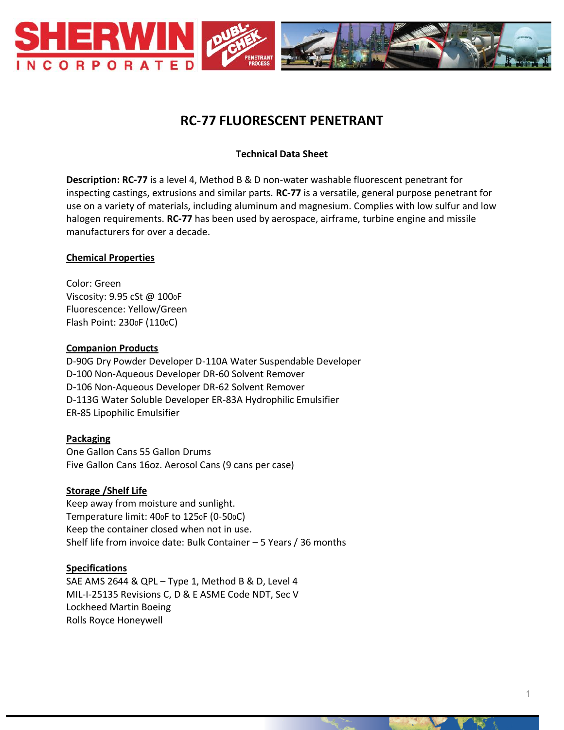

# **RC-77 FLUORESCENT PENETRANT**

## **Technical Data Sheet**

**Description: RC-77** is a level 4, Method B & D non-water washable fluorescent penetrant for inspecting castings, extrusions and similar parts. **RC-77** is a versatile, general purpose penetrant for use on a variety of materials, including aluminum and magnesium. Complies with low sulfur and low halogen requirements. **RC-77** has been used by aerospace, airframe, turbine engine and missile manufacturers for over a decade.

#### **Chemical Properties**

Color: Green Viscosity: 9.95 cSt @ 1000F Fluorescence: Yellow/Green Flash Point: 2300F (1100C)

#### **Companion Products**

D-90G Dry Powder Developer D-110A Water Suspendable Developer D-100 Non-Aqueous Developer DR-60 Solvent Remover D-106 Non-Aqueous Developer DR-62 Solvent Remover D-113G Water Soluble Developer ER-83A Hydrophilic Emulsifier ER-85 Lipophilic Emulsifier

#### **Packaging**

One Gallon Cans 55 Gallon Drums Five Gallon Cans 16oz. Aerosol Cans (9 cans per case)

#### **Storage /Shelf Life**

Keep away from moisture and sunlight. Temperature limit: 400F to 1250F (0-500C) Keep the container closed when not in use. Shelf life from invoice date: Bulk Container – 5 Years / 36 months

#### **Specifications**

SAE AMS 2644 & QPL – Type 1, Method B & D, Level 4 MIL-I-25135 Revisions C, D & E ASME Code NDT, Sec V Lockheed Martin Boeing Rolls Royce Honeywell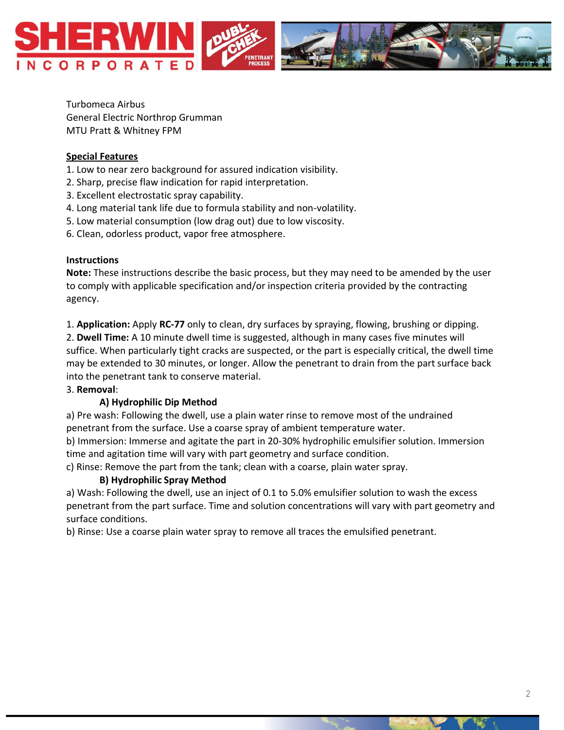

Turbomeca Airbus General Electric Northrop Grumman MTU Pratt & Whitney FPM

#### **Special Features**

- 1. Low to near zero background for assured indication visibility.
- 2. Sharp, precise flaw indication for rapid interpretation.
- 3. Excellent electrostatic spray capability.
- 4. Long material tank life due to formula stability and non-volatility.
- 5. Low material consumption (low drag out) due to low viscosity.
- 6. Clean, odorless product, vapor free atmosphere.

## **Instructions**

**Note:** These instructions describe the basic process, but they may need to be amended by the user to comply with applicable specification and/or inspection criteria provided by the contracting agency.

1. **Application:** Apply **RC-77** only to clean, dry surfaces by spraying, flowing, brushing or dipping.

2. **Dwell Time:** A 10 minute dwell time is suggested, although in many cases five minutes will suffice. When particularly tight cracks are suspected, or the part is especially critical, the dwell time may be extended to 30 minutes, or longer. Allow the penetrant to drain from the part surface back into the penetrant tank to conserve material.

## 3. **Removal**:

## **A) Hydrophilic Dip Method**

a) Pre wash: Following the dwell, use a plain water rinse to remove most of the undrained penetrant from the surface. Use a coarse spray of ambient temperature water.

b) Immersion: Immerse and agitate the part in 20-30% hydrophilic emulsifier solution. Immersion time and agitation time will vary with part geometry and surface condition.

c) Rinse: Remove the part from the tank; clean with a coarse, plain water spray.

## **B) Hydrophilic Spray Method**

a) Wash: Following the dwell, use an inject of 0.1 to 5.0% emulsifier solution to wash the excess penetrant from the part surface. Time and solution concentrations will vary with part geometry and surface conditions.

b) Rinse: Use a coarse plain water spray to remove all traces the emulsified penetrant.